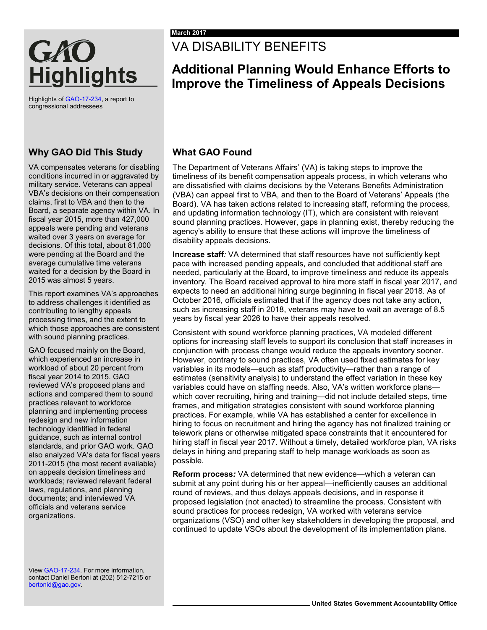# GAO **Highlights**

Highlights o[f GAO-17-234,](http://www.gao.gov/products/GAO-17-234) a report to congressional addressees

## **Why GAO Did This Study**

VA compensates veterans for disabling conditions incurred in or aggravated by military service. Veterans can appeal VBA's decisions on their compensation claims, first to VBA and then to the Board, a separate agency within VA. In fiscal year 2015, more than 427,000 appeals were pending and veterans waited over 3 years on average for decisions. Of this total, about 81,000 were pending at the Board and the average cumulative time veterans waited for a decision by the Board in 2015 was almost 5 years.

This report examines VA's approaches to address challenges it identified as contributing to lengthy appeals processing times, and the extent to which those approaches are consistent with sound planning practices.

GAO focused mainly on the Board, which experienced an increase in workload of about 20 percent from fiscal year 2014 to 2015. GAO reviewed VA's proposed plans and actions and compared them to sound practices relevant to workforce planning and implementing process redesign and new information technology identified in federal guidance, such as internal control standards, and prior GAO work. GAO also analyzed VA's data for fiscal years 2011-2015 (the most recent available) on appeals decision timeliness and workloads; reviewed relevant federal laws, regulations, and planning documents; and interviewed VA officials and veterans service organizations.

Vie[w GAO-17-234.](http://www.gao.gov/products/GAO-17-234) For more information, contact Daniel Bertoni at (202) 512-7215 or [bertonid@gao.gov.](mailto:bertonid@gao.gov)

## VA DISABILITY BENEFITS

## **Additional Planning Would Enhance Efforts to Improve the Timeliness of Appeals Decisions**

## **What GAO Found**

The Department of Veterans Affairs' (VA) is taking steps to improve the timeliness of its benefit compensation appeals process, in which veterans who are dissatisfied with claims decisions by the Veterans Benefits Administration (VBA) can appeal first to VBA, and then to the Board of Veterans' Appeals (the Board). VA has taken actions related to increasing staff, reforming the process, and updating information technology (IT), which are consistent with relevant sound planning practices. However, gaps in planning exist, thereby reducing the agency's ability to ensure that these actions will improve the timeliness of disability appeals decisions.

**Increase staff***:* VA determined that staff resources have not sufficiently kept pace with increased pending appeals, and concluded that additional staff are needed, particularly at the Board, to improve timeliness and reduce its appeals inventory. The Board received approval to hire more staff in fiscal year 2017, and expects to need an additional hiring surge beginning in fiscal year 2018. As of October 2016, officials estimated that if the agency does not take any action, such as increasing staff in 2018, veterans may have to wait an average of 8.5 years by fiscal year 2026 to have their appeals resolved.

Consistent with sound workforce planning practices, VA modeled different options for increasing staff levels to support its conclusion that staff increases in conjunction with process change would reduce the appeals inventory sooner. However, contrary to sound practices, VA often used fixed estimates for key variables in its models—such as staff productivity—rather than a range of estimates (sensitivity analysis) to understand the effect variation in these key variables could have on staffing needs. Also, VA's written workforce plans which cover recruiting, hiring and training—did not include detailed steps, time frames, and mitigation strategies consistent with sound workforce planning practices. For example, while VA has established a center for excellence in hiring to focus on recruitment and hiring the agency has not finalized training or telework plans or otherwise mitigated space constraints that it encountered for hiring staff in fiscal year 2017. Without a timely, detailed workforce plan, VA risks delays in hiring and preparing staff to help manage workloads as soon as possible.

**Reform process***:* VA determined that new evidence—which a veteran can submit at any point during his or her appeal—inefficiently causes an additional round of reviews, and thus delays appeals decisions, and in response it proposed legislation (not enacted) to streamline the process. Consistent with sound practices for process redesign, VA worked with veterans service organizations (VSO) and other key stakeholders in developing the proposal, and continued to update VSOs about the development of its implementation plans.